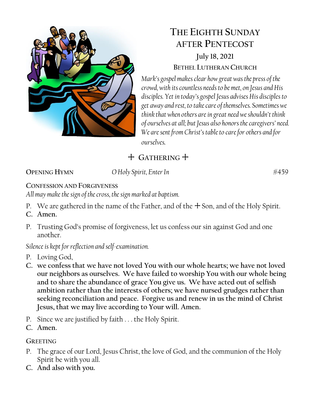

# **THE EIGHTH SUNDAY AFTER PENTECOST**

**July 18, 2021 BETHEL LUTHERAN CHURCH**

*Mark's gospel makes clear how great was the press of the crowd, with its countless needs to be met, on Jesus and His disciples. Yet in today's gospel Jesus advises His disciples to get away and rest, to take care of themselves. Sometimes we think that when others are in great need we shouldn't think of ourselves at all; but Jesus also honors the caregivers' need. We are sent from Christ's table to care for others and for ourselves.*

+ **GATHERING** +

**OPENING HYMN** *O Holy Spirit, Enter In* #459

#### **CONFESSION AND FORGIVENESS**

*All may make the sign of the cross, the sign marked at baptism.*

- P. We are gathered in the name of the Father, and of the  $+$  Son, and of the Holy Spirit.
- **C. Amen.**
- P. Trusting God's promise of forgiveness, let us confess our sin against God and one another.

#### *Silence is kept for reflection and self-examination.*

- P. Loving God,
- **C. we confess that we have not loved You with our whole hearts; we have not loved our neighbors as ourselves. We have failed to worship You with our whole being and to share the abundance of grace You give us. We have acted out of selfish ambition rather than the interests of others; we have nursed grudges rather than seeking reconciliation and peace. Forgive us and renew in us the mind of Christ Jesus, that we may live according to Your will. Amen.**
- P. Since we are justified by faith . . . the Holy Spirit.
- **C. Amen.**

#### **GREETING**

- P. The grace of our Lord, Jesus Christ, the love of God, and the communion of the Holy Spirit be with you all.
- **C. And also with you.**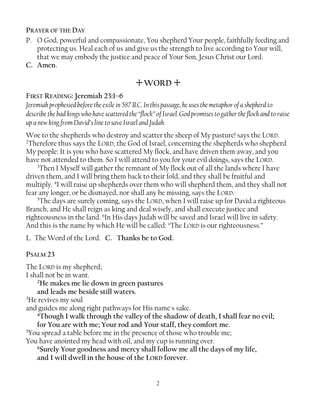#### **PRAYER OF THE DAY**

- P. O God, powerful and compassionate, You shepherd Your people, faithfully feeding and protecting us. Heal each of us and give us the strength to live according to Your will, that we may embody the justice and peace of Your Son, Jesus Christ our Lord.
- **C. Amen.**

## + **WORD** +

#### **FIRST READING: Jeremiah 23:1–6**

*Jeremiah prophesied before the exile in 587 B.C. In this passage, he uses the metaphor of a shepherd to describe the bad kings who have scattered the "flock" of Israel. God promises to gather the flock and to raise up a new king from David's line to save Israel and Judah.* 

Woe to the shepherds who destroy and scatter the sheep of My pasture! says the LORD. <sup>2</sup>Therefore thus says the LORD, the God of Israel, concerning the shepherds who shepherd My people: It is you who have scattered My flock, and have driven them away, and you have not attended to them. So I will attend to you for your evil doings, says the LORD.

<sup>3</sup>Then I Myself will gather the remnant of My flock out of all the lands where I have driven them, and I will bring them back to their fold, and they shall be fruitful and multiply. <sup>4</sup> I will raise up shepherds over them who will shepherd them, and they shall not fear any longer, or be dismayed, nor shall any be missing, says the LORD.

<sup>5</sup>The days are surely coming, says the LORD, when I will raise up for David a righteous Branch, and He shall reign as king and deal wisely, and shall execute justice and righteousness in the land. <sup>6</sup>In His days Judah will be saved and Israel will live in safety. And this is the name by which He will be called: "The LORD is our righteousness."

L. The Word of the Lord. **C. Thanks be to God.**

#### **PSALM 23**

The LORD is my shepherd; I shall not be in want.

**<sup>2</sup>He makes me lie down in green pastures**

**and leads me beside still waters.**

<sup>3</sup>He revives my soul

and guides me along right pathways for His name's sake.

**<sup>4</sup>Though I walk through the valley of the shadow of death, I shall fear no evil; for You are with me; Your rod and Your staff, they comfort me.** 

<sup>5</sup>You spread a table before me in the presence of those who trouble me;

You have anointed my head with oil, and my cup is running over.

**<sup>6</sup>Surely Your goodness and mercy shall follow me all the days of my life,**

**and I will dwell in the house of the LORD forever.**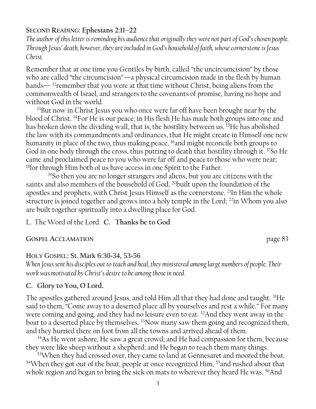#### **SECOND READING: Ephesians 2:11–22**

*The author of this letter is reminding his audience that originally they were not part of God's chosen people. Through Jesus' death, however, they are included in God's household of faith, whose cornerstone is Jesus Christ.*

Remember that at one time you Gentiles by birth, called "the uncircumcision" by those who are called "the circumcision"—a physical circumcision made in the flesh by human hands—  $12$  remember that you were at that time without Christ, being aliens from the commonwealth of Israel, and strangers to the covenants of promise, having no hope and without God in the world.

<sup>13</sup>But now in Christ Jesus you who once were far off have been brought near by the blood of Christ. <sup>14</sup>For He is our peace; in His flesh He has made both groups into one and has broken down the dividing wall, that is, the hostility between us. <sup>15</sup>He has abolished the law with its commandments and ordinances, that He might create in Himself one new humanity in place of the two, thus making peace, <sup>16</sup>and might reconcile both groups to God in one body through the cross, thus putting to death that hostility through it. <sup>17</sup>So He came and proclaimed peace to you who were far off and peace to those who were near; <sup>18</sup>for through Him both of us have access in one Spirit to the Father.

<sup>19</sup>So then you are no longer strangers and aliens, but you are citizens with the saints and also members of the household of God, <sup>20</sup>built upon the foundation of the apostles and prophets, with Christ Jesus Himself as the cornerstone. <sup>21</sup>In Him the whole structure is joined together and grows into a holy temple in the Lord; <sup>22</sup>in Whom you also are built together spiritually into a dwelling place for God.

L. The Word of the Lord. **C. Thanks be to God**

#### **GOSPEL ACCLAMATION** page 83

#### HOLY GOSPEL: St. Mark 6:30-34, 53-56

*When Jesus sent his disciples out to teach and heal, they ministered among large numbers of people. Their work was motivated by Christ's desire to be among those in need.*

#### **C. Glory to You, O Lord.**

The apostles gathered around Jesus, and told Him all that they had done and taught. <sup>31</sup>He said to them, "Come away to a deserted place all by yourselves and rest a while." For many were coming and going, and they had no leisure even to eat. <sup>32</sup>And they went away in the boat to a deserted place by themselves. <sup>33</sup>Now many saw them going and recognized them, and they hurried there on foot from all the towns and arrived ahead of them.

<sup>34</sup>As He went ashore, He saw a great crowd; and He had compassion for them, because they were like sheep without a shepherd; and He began to teach them many things.

<sup>53</sup>When they had crossed over, they came to land at Gennesaret and moored the boat. <sup>54</sup>When they got out of the boat, people at once recognized Him, <sup>55</sup> and rushed about that whole region and began to bring the sick on mats to wherever they heard He was. <sup>56</sup>And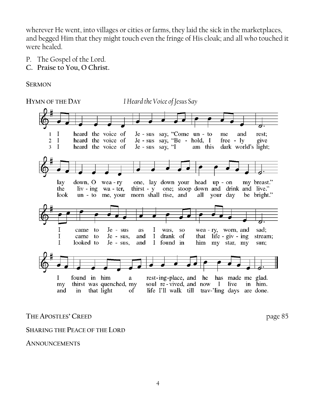wherever He went, into villages or cities or farms, they laid the sick in the marketplaces, and begged Him that they might touch even the fringe of His cloak; and all who touched it were healed.

- P. The Gospel of the Lord.
- **C. Praise to You, O Christ.**

**SERMON**



#### **THE APOSTLES' CREED** page 85

#### **SHARING THE PEACE OF THE LORD**

**ANNOUNCEMENTS**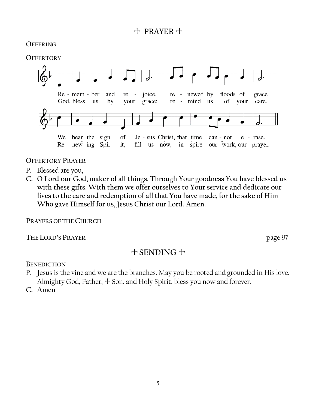## + PRAYER +

#### **OFFERING**

#### **OFFERTORY**



#### **OFFERTORY PRAYER**

- P. Blessed are you,
- **C. O Lord our God, maker of all things. Through Your goodness You have blessed us with these gifts. With them we offer ourselves to Your service and dedicate our lives to the care and redemption of all that You have made, for the sake of Him Who gave Himself for us, Jesus Christ our Lord. Amen.**

**PRAYERS OF THE CHURCH**

**THE LORD'S PRAYER** page 97

## + **SENDING** +

**BENEDICTION**

- P. Jesus is the vine and we are the branches. May you be rooted and grounded in His love. Almighty God, Father,  $+$  Son, and Holy Spirit, bless you now and forever.
- **C. Amen**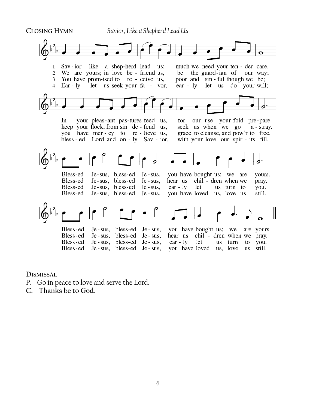

**DISMISSAL** 

- P. Go in peace to love and serve the Lord.
- **C. Thanks be to God.**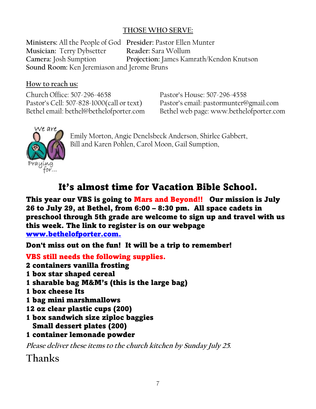#### **THOSE WHO SERVE:**

**Ministers:** All the People of God **Presider:** Pastor Ellen Munter **Musician:** Terry Dybsetter **Reader:** Sara Wollum **Camera:** Josh Sumption **Projection:** James Kamrath/Kendon Knutson **Sound Room:** Ken Jeremiason and Jerome Bruns

#### **How to reach us:**

Church Office: 507-296-4658 Pastor's House: 507-296-4558 Pastor's Cell: 507-828-1000(call or text) Pastor's email: pastormunter@gmail.com

Bethel email: bethel@bethelofporter.com Bethel web page: www.bethelofporter.com



Emily Morton, Angie Denelsbeck Anderson, Shirlee Gabbert, Bill and Karen Pohlen, Carol Moon, Gail Sumption,

## It's almost time for Vacation Bible School.

This year our VBS is going to Mars and Beyond!! Our mission is July 26 to July 29, at Bethel, from 6:00 – 8:30 pm. All space cadets in preschool through 5th grade are welcome to sign up and travel with us this week. The link to register is on our webpage [www.bethelofporter.com.](http://www.bethelofporter.com./)

Don't miss out on the fun! It will be a trip to remember!

VBS still needs the following supplies. 2 containers vanilla frosting 1 box star shaped cereal 1 sharable bag M&M's (this is the large bag) 1 box cheese Its 1 bag mini marshmallows 12 oz clear plastic cups (200) 1 box sandwich size ziploc baggies Small dessert plates (200) 1 container lemonade powder **Please deliver these items to the church kitchen by Sunday July 25. Thanks**